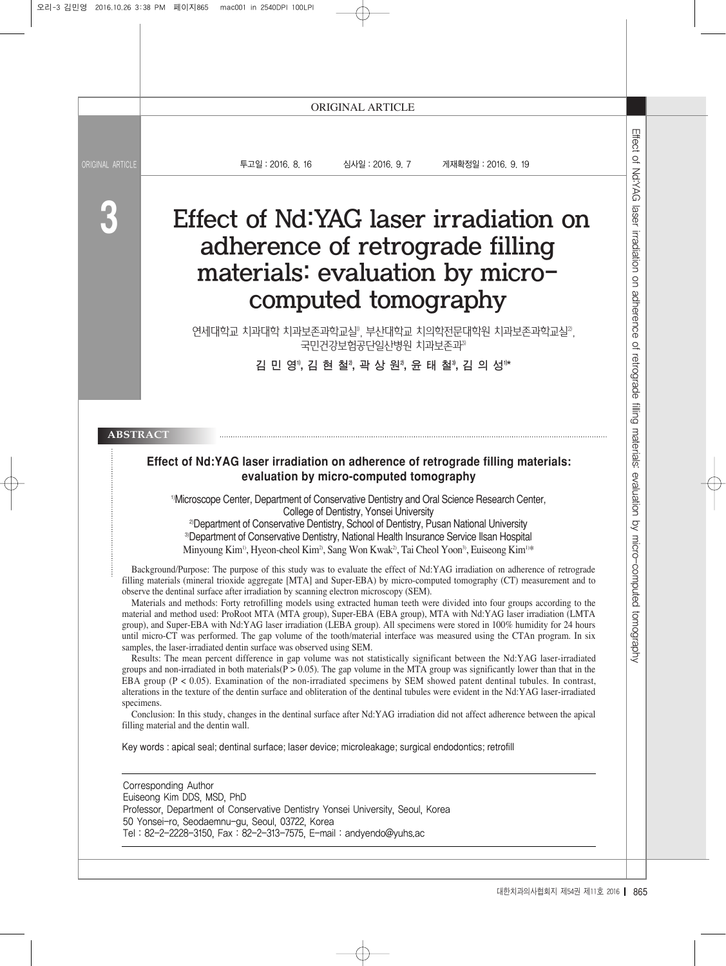**3**

투고일:2016. 8. 16 심사일:2016. 9. 7 게재확정일:2016. 9. 19

# $\begin{array}{lllllllllll} \textbf{16. 9. 19} & \textbf{24.101} & \textbf{34.11} & \textbf{45.11} & \textbf{5.12} & \textbf{6.13} & \textbf{6.14} & \textbf{6.15} & \textbf{6.15} & \textbf{6.15} & \textbf{6.15} & \textbf{6.15} & \textbf{6.15} & \textbf{6.15} & \textbf{6.15} & \textbf{6.15} & \textbf{6.15} & \textbf{6.15} & \textbf{6.15} & \textbf{6.15}$ Effect of Nd:YAG laser irradiation on adherence of retrograde filling materials: evaluation by microcomputed tomography

연세대학교 치과대학 치과보존과학교실", 부산대학교 치의학전문대학원 치과보존과학교실", 국민건강보험공단일산병원 치과보존과3)

김민영1), 김 현 철2), 곽 상 원2), 윤 태 철3), 김 의 성1)\*

#### **ABSTRACT**

#### **Effect of Nd:YAG laser irradiation on adherence of retrograde filling materials: evaluation by micro-computed tomography**

1)Microscope Center, Department of Conservative Dentistry and Oral Science Research Center, College of Dentistry, Yonsei University

<sup>2)</sup>Department of Conservative Dentistry, School of Dentistry, Pusan National University 3)Department of Conservative Dentistry, National Health Insurance Service Ilsan Hospital Minyoung Kim<sup>1)</sup>, Hyeon-cheol Kim<sup>2</sup>, Sang Won Kwak<sup>2</sup>, Tai Cheol Yoon<sup>3</sup>, Euiseong Kim<sup>1)\*</sup>

Background/Purpose: The purpose of this study was to evaluate the effect of Nd:YAG irradiation on adherence of retrograde filling materials (mineral trioxide aggregate [MTA] and Super-EBA) by micro-computed tomography (CT) measurement and to observe the dentinal surface after irradiation by scanning electron microscopy (SEM).

Materials and methods: Forty retrofilling models using extracted human teeth were divided into four groups according to the material and method used: ProRoot MTA (MTA group), Super-EBA (EBA group), MTA with Nd:YAG laser irradiation (LMTA group), and Super-EBA with Nd:YAG laser irradiation (LEBA group). All specimens were stored in 100% humidity for 24 hours until micro-CT was performed. The gap volume of the tooth/material interface was measured using the CTAn program. In six samples, the laser-irradiated dentin surface was observed using SEM.

Results: The mean percent difference in gap volume was not statistically significant between the Nd:YAG laser-irradiated groups and non-irradiated in both materials( $P > 0.05$ ). The gap volume in the MTA group was significantly lower than that in the EBA group (P < 0.05). Examination of the non-irradiated specimens by SEM showed patent dentinal tubules. In contrast, alterations in the texture of the dentin surface and obliteration of the dentinal tubules were evident in the Nd:YAG laser-irradiated specimens.

Conclusion: In this study, changes in the dentinal surface after Nd:YAG irradiation did not affect adherence between the apical filling material and the dentin wall.

Key words : apical seal; dentinal surface; laser device; microleakage; surgical endodontics; retrofill

Corresponding Author Euiseong Kim DDS, MSD, PhD Professor, Department of Conservative Dentistry Yonsei University, Seoul, Korea 50 Yonsei-ro, Seodaemnu-gu, Seoul, 03722, Korea Tel : 82-2-2228-3150, Fax : 82-2-313-7575, E-mail : andyendo@yuhs.ac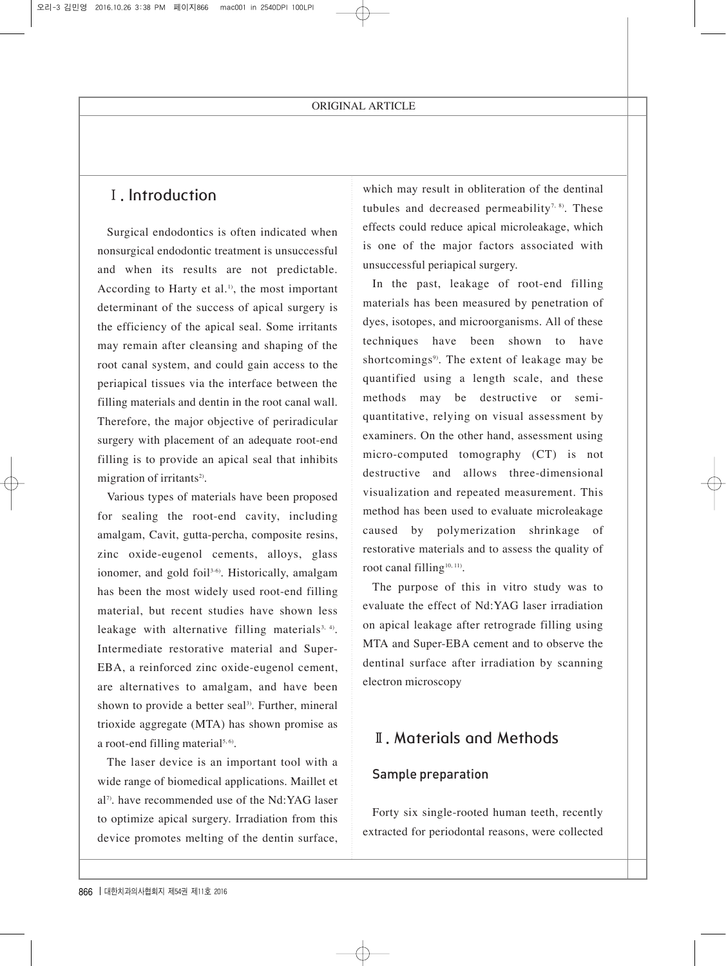# Ⅰ. Introduction

Surgical endodontics is often indicated when nonsurgical endodontic treatment is unsuccessful and when its results are not predictable. According to Harty et al.<sup>1)</sup>, the most important determinant of the success of apical surgery is the efficiency of the apical seal. Some irritants may remain after cleansing and shaping of the root canal system, and could gain access to the periapical tissues via the interface between the filling materials and dentin in the root canal wall. Therefore, the major objective of periradicular surgery with placement of an adequate root-end filling is to provide an apical seal that inhibits migration of irritants<sup>2)</sup>.

Various types of materials have been proposed for sealing the root-end cavity, including amalgam, Cavit, gutta-percha, composite resins, zinc oxide-eugenol cements, alloys, glass ionomer, and gold foil<sup>3-6)</sup>. Historically, amalgam has been the most widely used root-end filling material, but recent studies have shown less leakage with alternative filling materials<sup>3, 4)</sup>. Intermediate restorative material and Super-EBA, a reinforced zinc oxide-eugenol cement, are alternatives to amalgam, and have been shown to provide a better seal<sup>3)</sup>. Further, mineral trioxide aggregate (MTA) has shown promise as a root-end filling material<sup>5, 6</sup>.

The laser device is an important tool with a wide range of biomedical applications. Maillet et  $a^{17}$ , have recommended use of the Nd:YAG laser to optimize apical surgery. Irradiation from this device promotes melting of the dentin surface, which may result in obliteration of the dentinal tubules and decreased permeability<sup>7, 8)</sup>. These effects could reduce apical microleakage, which is one of the major factors associated with unsuccessful periapical surgery.

In the past, leakage of root-end filling materials has been measured by penetration of dyes, isotopes, and microorganisms. All of these techniques have been shown to have shortcomings<sup>9</sup>. The extent of leakage may be quantified using a length scale, and these methods may be destructive or semiquantitative, relying on visual assessment by examiners. On the other hand, assessment using micro-computed tomography (CT) is not destructive and allows three-dimensional visualization and repeated measurement. This method has been used to evaluate microleakage caused by polymerization shrinkage of restorative materials and to assess the quality of root canal filling<sup>10, 11)</sup>.

The purpose of this in vitro study was to evaluate the effect of Nd:YAG laser irradiation on apical leakage after retrograde filling using MTA and Super-EBA cement and to observe the dentinal surface after irradiation by scanning electron microscopy

# Ⅱ. Materials and Methods

## Sample preparation

Forty six single-rooted human teeth, recently extracted for periodontal reasons, were collected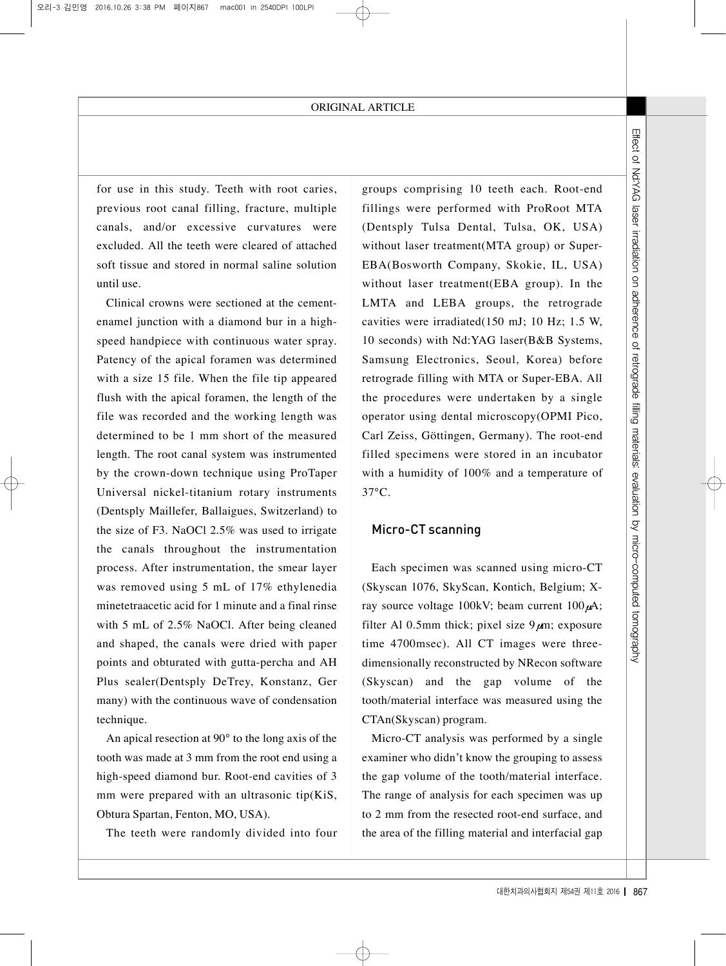for use in this study. Teeth with root caries, previous root canal filling, fracture, multiple canals, and/or excessive curvatures were excluded. All the teeth were cleared of attached soft tissue and stored in normal saline solution until use.

Clinical crowns were sectioned at the cementenamel junction with a diamond bur in a highspeed handpiece with continuous water spray. Patency of the apical foramen was determined with a size 15 file. When the file tip appeared flush with the apical foramen, the length of the file was recorded and the working length was determined to be 1 mm short of the measured length. The root canal system was instrumented by the crown-down technique using ProTaper Universal nickel-titanium rotary instruments (Dentsply Maillefer, Ballaigues, Switzerland) to the size of F3. NaOCl 2.5% was used to irrigate the canals throughout the instrumentation process. After instrumentation, the smear layer was removed using 5 mL of 17% ethylenedia minetetraacetic acid for 1 minute and a final rinse with 5 mL of 2.5% NaOCl. After being cleaned and shaped, the canals were dried with paper points and obturated with gutta-percha and AH Plus sealer(Dentsply DeTrey, Konstanz, Ger many) with the continuous wave of condensation technique.

An apical resection at 90° to the long axis of the tooth was made at 3 mm from the root end using a high-speed diamond bur. Root-end cavities of 3 mm were prepared with an ultrasonic tip(KiS, Obtura Spartan, Fenton, MO, USA).

The teeth were randomly divided into four

Exame the each. Root-end<br>
with ProRoot MTA<br>
Tulsa, OK, USA)<br>
TA group) or Super-<br>
Skokie, IL, USA)<br>
EBA group). In the<br>
tradic of MJ; 10 Hz; 1.5 W,<br>
laser (B&B Systems,<br>
coul, Korea) before<br>
A or Super-EBA. All<br>
ertaken b groups comprising 10 teeth each. Root-end fillings were performed with ProRoot MTA (Dentsply Tulsa Dental, Tulsa, OK, USA) without laser treatment(MTA group) or Super-EBA(Bosworth Company, Skokie, IL, USA) without laser treatment(EBA group). In the LMTA and LEBA groups, the retrograde cavities were irradiated(150 mJ; 10 Hz; 1.5 W, 10 seconds) with Nd:YAG laser(B&B Systems, Samsung Electronics, Seoul, Korea) before retrograde filling with MTA or Super-EBA. All the procedures were undertaken by a single operator using dental microscopy(OPMI Pico, Carl Zeiss, Göttingen, Germany). The root-end filled specimens were stored in an incubator with a humidity of 100% and a temperature of 37°C.

## Micro-CT scanning

Each specimen was scanned using micro-CT (Skyscan 1076, SkyScan, Kontich, Belgium; Xray source voltage 100kV; beam current  $100 \mu A$ ; filter Al 0.5mm thick; pixel size  $9\mu$ m; exposure time 4700msec). All CT images were threedimensionally reconstructed by NRecon software (Skyscan) and the gap volume of the tooth/material interface was measured using the CTAn(Skyscan) program.

Micro-CT analysis was performed by a single examiner who didn't know the grouping to assess the gap volume of the tooth/material interface. The range of analysis for each specimen was up to 2 mm from the resected root-end surface, and the area of the filling material and interfacial gap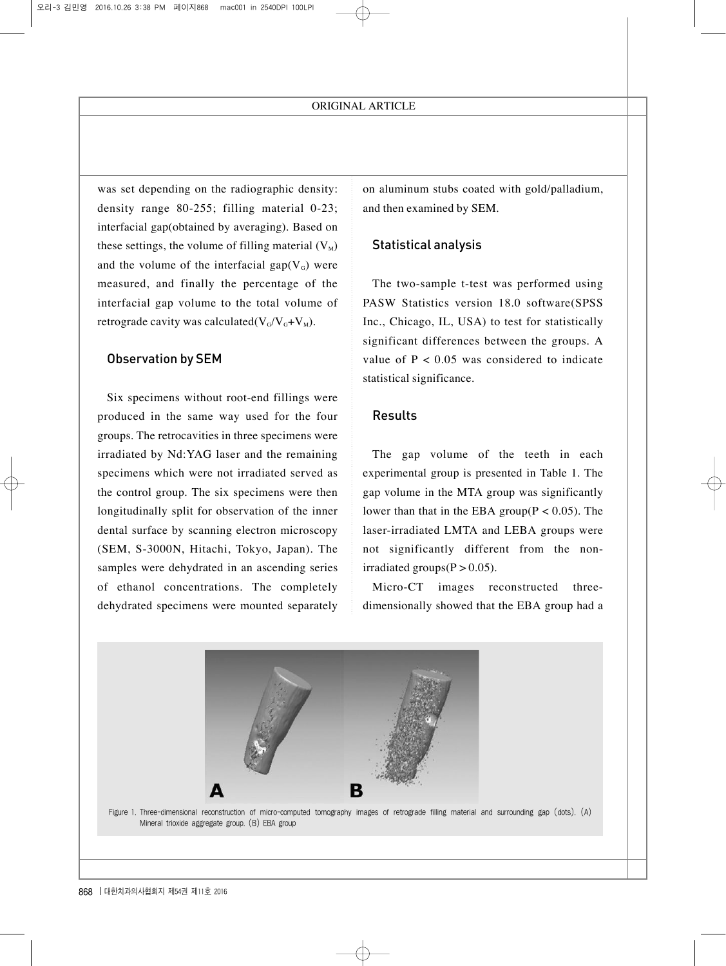was set depending on the radiographic density: density range 80-255; filling material 0-23; interfacial gap(obtained by averaging). Based on these settings, the volume of filling material  $(V_M)$ and the volume of the interfacial gap( $V<sub>G</sub>$ ) were measured, and finally the percentage of the interfacial gap volume to the total volume of retrograde cavity was calculated( $V_G/V_G+V_M$ ).

### Observation by SEM

Six specimens without root-end fillings were produced in the same way used for the four groups. The retrocavities in three specimens were irradiated by Nd:YAG laser and the remaining specimens which were not irradiated served as the control group. The six specimens were then longitudinally split for observation of the inner dental surface by scanning electron microscopy (SEM, S-3000N, Hitachi, Tokyo, Japan). The samples were dehydrated in an ascending series of ethanol concentrations. The completely dehydrated specimens were mounted separately on aluminum stubs coated with gold/palladium, and then examined by SEM.

#### Statistical analysis

The two-sample t-test was performed using PASW Statistics version 18.0 software(SPSS Inc., Chicago, IL, USA) to test for statistically significant differences between the groups. A value of  $P < 0.05$  was considered to indicate statistical significance.

#### Results

The gap volume of the teeth in each experimental group is presented in Table 1. The gap volume in the MTA group was significantly lower than that in the EBA group $(P < 0.05)$ . The laser-irradiated LMTA and LEBA groups were not significantly different from the nonirradiated groups $(P > 0.05)$ .

Micro-CT images reconstructed threedimensionally showed that the EBA group had a

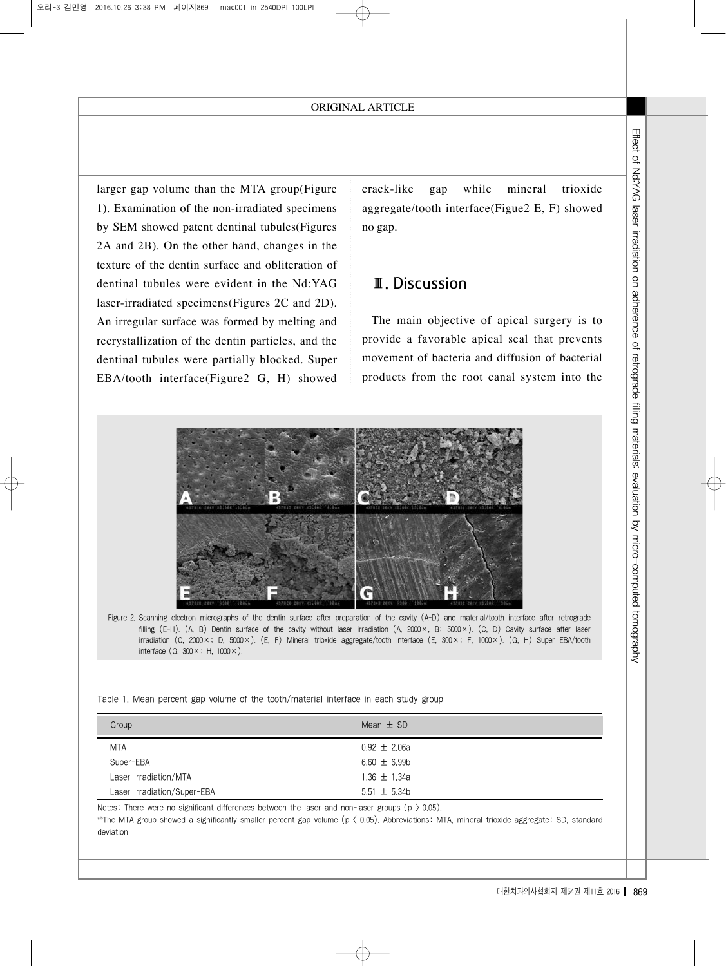# Ⅲ. Discussion



Table 1. Mean percent gap volume of the tooth/material interface in each study group

| larger gap volume than the MTA group(Figure<br>1). Examination of the non-irradiated specimens<br>by SEM showed patent dentinal tubules(Figures<br>2A and 2B). On the other hand, changes in the<br>texture of the dentin surface and obliteration of<br>dentinal tubules were evident in the Nd:YAG<br>laser-irradiated specimens(Figures 2C and 2D).<br>An irregular surface was formed by melting and<br>recrystallization of the dentin particles, and the<br>dentinal tubules were partially blocked. Super<br>EBA/tooth interface(Figure2 G, H) showed | crack-like<br>while<br>mineral<br>trioxide<br>gap<br>aggregate/tooth interface(Figue2 E, F) showed<br>no gap.<br><b>II.</b> Discussion<br>The main objective of apical surgery is to<br>provide a favorable apical seal that prevents<br>movement of bacteria and diffusion of bacterial<br>products from the root canal system into the | Effect of Nd:YAG laser irradiation on adherence<br>Q<br>retrograde filling materials:<br>evaluation by micro-computed tomo |
|--------------------------------------------------------------------------------------------------------------------------------------------------------------------------------------------------------------------------------------------------------------------------------------------------------------------------------------------------------------------------------------------------------------------------------------------------------------------------------------------------------------------------------------------------------------|------------------------------------------------------------------------------------------------------------------------------------------------------------------------------------------------------------------------------------------------------------------------------------------------------------------------------------------|----------------------------------------------------------------------------------------------------------------------------|
| Figure 2. Scanning electron micrographs of the dentin surface after preparation of the cavity (A-D) and material/tooth interface after retrograde<br>interface $(G, 300 \times; H, 1000 \times)$ .<br>Table 1. Mean percent gap volume of the tooth/material interface in each study group<br>Group                                                                                                                                                                                                                                                          | filling (E-H). (A, B) Dentin surface of the cavity without laser irradiation (A, 2000 ×, B; 5000 ×). (C, D) Cavity surface after laser<br>irradiation (C, 2000 ×; D, 5000 ×). (E, F) Mineral trioxide aggregate/tooth interface (E, 300 ×; F, 1000 ×). (G, H) Super EBA/tooth<br>Mean $\pm$ SD                                           | yderpty                                                                                                                    |
| MTA                                                                                                                                                                                                                                                                                                                                                                                                                                                                                                                                                          | $0.92 \pm 2.06a$                                                                                                                                                                                                                                                                                                                         |                                                                                                                            |
| Super-EBA                                                                                                                                                                                                                                                                                                                                                                                                                                                                                                                                                    | $6.60 \pm 6.99$ b                                                                                                                                                                                                                                                                                                                        |                                                                                                                            |
| Laser irradiation/MTA                                                                                                                                                                                                                                                                                                                                                                                                                                                                                                                                        | $1.36 \pm 1.34a$                                                                                                                                                                                                                                                                                                                         |                                                                                                                            |
| Laser irradiation/Super-EBA                                                                                                                                                                                                                                                                                                                                                                                                                                                                                                                                  | 5.51 $\pm$ 5.34b                                                                                                                                                                                                                                                                                                                         |                                                                                                                            |
| Notes: There were no significant differences between the laser and non-laser groups ( $p > 0.05$ ).<br>abThe MTA group showed a significantly smaller percent gap volume (p $\langle$ 0.05). Abbreviations: MTA, mineral trioxide aggregate; SD, standard<br>deviation                                                                                                                                                                                                                                                                                       |                                                                                                                                                                                                                                                                                                                                          |                                                                                                                            |
|                                                                                                                                                                                                                                                                                                                                                                                                                                                                                                                                                              | 대한치과의사협회지 제54권 제11호 2016   869                                                                                                                                                                                                                                                                                                           |                                                                                                                            |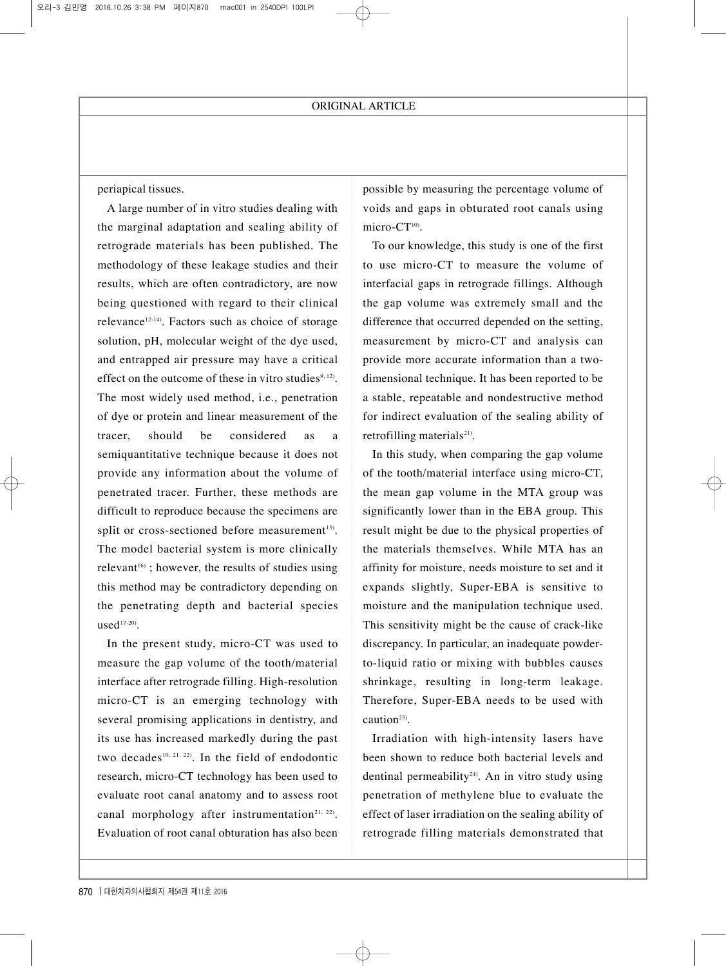periapical tissues.

A large number of in vitro studies dealing with the marginal adaptation and sealing ability of retrograde materials has been published. The methodology of these leakage studies and their results, which are often contradictory, are now being questioned with regard to their clinical relevance<sup>12-14)</sup>. Factors such as choice of storage solution, pH, molecular weight of the dye used, and entrapped air pressure may have a critical effect on the outcome of these in vitro studies $9,12$ . The most widely used method, i.e., penetration of dye or protein and linear measurement of the tracer, should be considered as a semiquantitative technique because it does not provide any information about the volume of penetrated tracer. Further, these methods are difficult to reproduce because the specimens are split or cross-sectioned before measurement<sup>15)</sup>. The model bacterial system is more clinically relevant<sup>16)</sup>; however, the results of studies using this method may be contradictory depending on the penetrating depth and bacterial species  $used<sup>17-20</sup>$ .

In the present study, micro-CT was used to measure the gap volume of the tooth/material interface after retrograde filling. High-resolution micro-CT is an emerging technology with several promising applications in dentistry, and its use has increased markedly during the past two decades<sup>10, 21, 22)</sup>. In the field of endodontic research, micro-CT technology has been used to evaluate root canal anatomy and to assess root canal morphology after instrumentation<sup>21, 22)</sup>. Evaluation of root canal obturation has also been possible by measuring the percentage volume of voids and gaps in obturated root canals using micro-CT<sup>10)</sup>.

To our knowledge, this study is one of the first to use micro-CT to measure the volume of interfacial gaps in retrograde fillings. Although the gap volume was extremely small and the difference that occurred depended on the setting, measurement by micro-CT and analysis can provide more accurate information than a twodimensional technique. It has been reported to be a stable, repeatable and nondestructive method for indirect evaluation of the sealing ability of retrofilling materials<sup>21)</sup>.

In this study, when comparing the gap volume of the tooth/material interface using micro-CT, the mean gap volume in the MTA group was significantly lower than in the EBA group. This result might be due to the physical properties of the materials themselves. While MTA has an affinity for moisture, needs moisture to set and it expands slightly, Super-EBA is sensitive to moisture and the manipulation technique used. This sensitivity might be the cause of crack-like discrepancy. In particular, an inadequate powderto-liquid ratio or mixing with bubbles causes shrinkage, resulting in long-term leakage. Therefore, Super-EBA needs to be used with caution<sup>23)</sup>.

Irradiation with high-intensity lasers have been shown to reduce both bacterial levels and dentinal permeability<sup>24)</sup>. An in vitro study using penetration of methylene blue to evaluate the effect of laser irradiation on the sealing ability of retrograde filling materials demonstrated that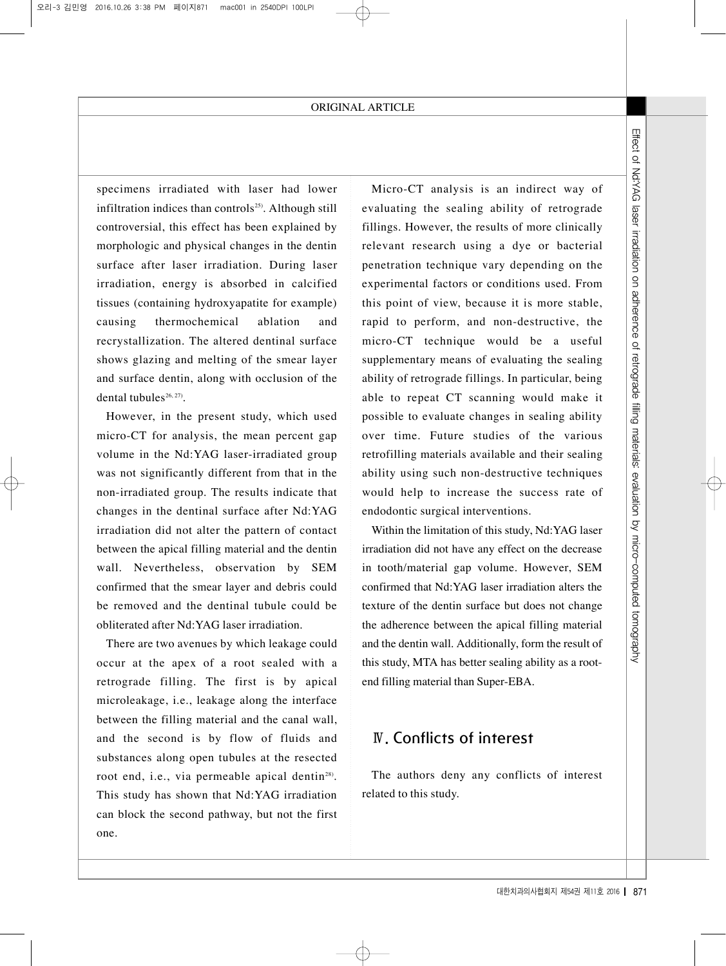specimens irradiated with laser had lower infiltration indices than controls<sup>25)</sup>. Although still controversial, this effect has been explained by morphologic and physical changes in the dentin surface after laser irradiation. During laser irradiation, energy is absorbed in calcified tissues (containing hydroxyapatite for example) causing thermochemical ablation and recrystallization. The altered dentinal surface shows glazing and melting of the smear layer and surface dentin, along with occlusion of the dental tubules $26, 27$ ).

However, in the present study, which used micro-CT for analysis, the mean percent gap volume in the Nd:YAG laser-irradiated group was not significantly different from that in the non-irradiated group. The results indicate that changes in the dentinal surface after Nd:YAG irradiation did not alter the pattern of contact between the apical filling material and the dentin wall. Nevertheless, observation by SEM confirmed that the smear layer and debris could be removed and the dentinal tubule could be obliterated after Nd:YAG laser irradiation.

There are two avenues by which leakage could occur at the apex of a root sealed with a retrograde filling. The first is by apical microleakage, i.e., leakage along the interface between the filling material and the canal wall, and the second is by flow of fluids and substances along open tubules at the resected root end, i.e., via permeable apical dentin<sup>28)</sup>. This study has shown that Nd:YAG irradiation can block the second pathway, but not the first one.

Example 1.1 Effect of notice through M111 **Effect** of the state of the state of the state of a useful valuating the sealing would make it point destructive, the point of the various of the various sead, From sealing would Micro-CT analysis is an indirect way of evaluating the sealing ability of retrograde fillings. However, the results of more clinically relevant research using a dye or bacterial penetration technique vary depending on the experimental factors or conditions used. From this point of view, because it is more stable, rapid to perform, and non-destructive, the micro-CT technique would be a useful supplementary means of evaluating the sealing ability of retrograde fillings. In particular, being able to repeat CT scanning would make it possible to evaluate changes in sealing ability over time. Future studies of the various retrofilling materials available and their sealing ability using such non-destructive techniques would help to increase the success rate of endodontic surgical interventions.

Within the limitation of this study, Nd:YAG laser irradiation did not have any effect on the decrease in tooth/material gap volume. However, SEM confirmed that Nd:YAG laser irradiation alters the texture of the dentin surface but does not change the adherence between the apical filling material and the dentin wall. Additionally, form the result of this study, MTA has better sealing ability as a rootend filling material than Super-EBA.

# Ⅳ. Conflicts of interest

The authors deny any conflicts of interest related to this study.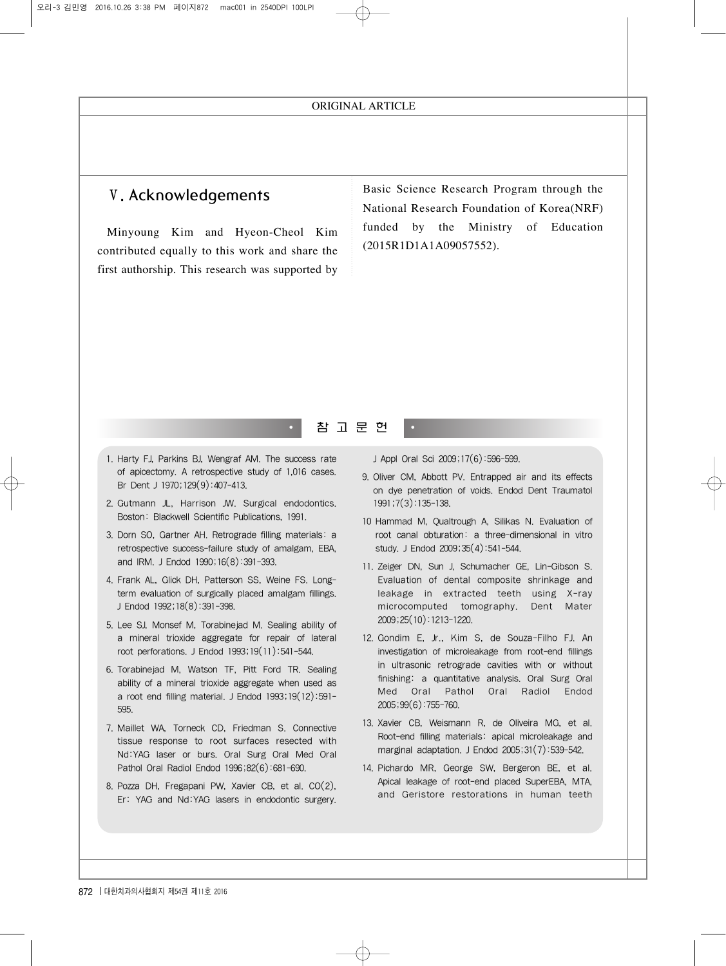# Ⅴ. Acknowledgements

Minyoung Kim and Hyeon-Cheol Kim contributed equally to this work and share the first authorship. This research was supported by Basic Science Research Program through the National Research Foundation of Korea(NRF) funded by the Ministry of Education (2015R1D1A1A09057552).

## 참 고 문 헌

- 1. Harty FJ, Parkins BJ, Wengraf AM. The success rate of apicectomy. A retrospective study of 1,016 cases. Br Dent J 1970;129(9):407-413.
- 2. Gutmann JL, Harrison JW. Surgical endodontics. Boston: Blackwell Scientific Publications, 1991.
- 3. Dorn SO, Gartner AH. Retrograde filling materials: a retrospective success-failure study of amalgam, EBA, and IRM. J Endod 1990;16(8):391-393.
- 4. Frank AL, Glick DH, Patterson SS, Weine FS. Longterm evaluation of surgically placed amalgam fillings. J Endod 1992;18(8):391-398.
- 5. Lee SJ, Monsef M, Torabinejad M. Sealing ability of a mineral trioxide aggregate for repair of lateral root perforations. J Endod 1993;19(11):541-544.
- 6. Torabinejad M, Watson TF, Pitt Ford TR. Sealing ability of a mineral trioxide aggregate when used as a root end filling material. J Endod 1993;19(12):591- 595.
- 7. Maillet WA, Torneck CD, Friedman S. Connective tissue response to root surfaces resected with Nd:YAG laser or burs. Oral Surg Oral Med Oral Pathol Oral Radiol Endod 1996;82(6):681-690.
- 8. Pozza DH, Fregapani PW, Xavier CB, et al. CO(2), Er: YAG and Nd:YAG lasers in endodontic surgery.

J Appl Oral Sci 2009;17(6):596-599.

- 9. Oliver CM, Abbott PV. Entrapped air and its effects on dye penetration of voids. Endod Dent Traumatol 1991;7(3):135-138.
- 10 Hammad M, Qualtrough A, Silikas N. Evaluation of root canal obturation: a three-dimensional in vitro study. J Endod 2009;35(4):541-544.
- 11. Zeiger DN, Sun J, Schumacher GE, Lin-Gibson S. Evaluation of dental composite shrinkage and leakage in extracted teeth using X-ray microcomputed tomography. Dent Mater 2009;25(10):1213-1220.
- 12. Gondim E, Jr., Kim S, de Souza-Filho FJ. An investigation of microleakage from root-end fillings in ultrasonic retrograde cavities with or without finishing: a quantitative analysis. Oral Surg Oral Med Oral Pathol Oral Radiol Endod 2005;99(6):755-760.
- 13. Xavier CB, Weismann R, de Oliveira MG, et al. Root-end filling materials: apical microleakage and marginal adaptation. J Endod 2005;31(7):539-542.
- 14. Pichardo MR, George SW, Bergeron BE, et al. Apical leakage of root-end placed SuperEBA, MTA, and Geristore restorations in human teeth